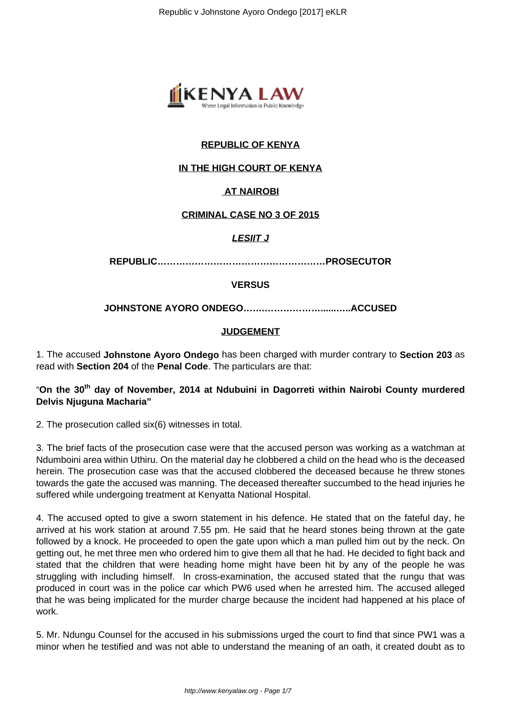

# **REPUBLIC OF KENYA**

## **IN THE HIGH COURT OF KENYA**

### **AT NAIROBI**

#### **CRIMINAL CASE NO 3 OF 2015**

#### **LESIIT J**

**REPUBLIC………………………………………………PROSECUTOR**

#### **VERSUS**

**JOHNSTONE AYORO ONDEGO…….………………......…..ACCUSED**

#### **JUDGEMENT**

1. The accused **Johnstone Ayoro Ondego** has been charged with murder contrary to **Section 203** as read with **Section 204** of the **Penal Code**. The particulars are that:

# "**On the 30th day of November, 2014 at Ndubuini in Dagorreti within Nairobi County murdered Delvis Njuguna Macharia"**

2. The prosecution called six(6) witnesses in total.

3. The brief facts of the prosecution case were that the accused person was working as a watchman at Ndumboini area within Uthiru. On the material day he clobbered a child on the head who is the deceased herein. The prosecution case was that the accused clobbered the deceased because he threw stones towards the gate the accused was manning. The deceased thereafter succumbed to the head injuries he suffered while undergoing treatment at Kenyatta National Hospital.

4. The accused opted to give a sworn statement in his defence. He stated that on the fateful day, he arrived at his work station at around 7.55 pm. He said that he heard stones being thrown at the gate followed by a knock. He proceeded to open the gate upon which a man pulled him out by the neck. On getting out, he met three men who ordered him to give them all that he had. He decided to fight back and stated that the children that were heading home might have been hit by any of the people he was struggling with including himself. ln cross-examination, the accused stated that the rungu that was produced in court was in the police car which PW6 used when he arrested him. The accused alleged that he was being implicated for the murder charge because the incident had happened at his place of work.

5. Mr. Ndungu Counsel for the accused in his submissions urged the court to find that since PW1 was a minor when he testified and was not able to understand the meaning of an oath, it created doubt as to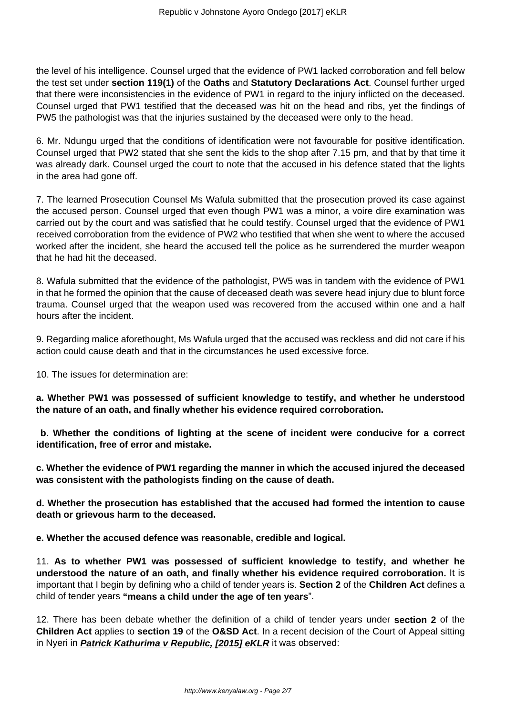the level of his intelligence. Counsel urged that the evidence of PW1 lacked corroboration and fell below the test set under **section 119(1)** of the **Oaths** and **Statutory Declarations Act**. Counsel further urged that there were inconsistencies in the evidence of PW1 in regard to the injury inflicted on the deceased. Counsel urged that PW1 testified that the deceased was hit on the head and ribs, yet the findings of PW5 the pathologist was that the injuries sustained by the deceased were only to the head.

6. Mr. Ndungu urged that the conditions of identification were not favourable for positive identification. Counsel urged that PW2 stated that she sent the kids to the shop after 7.15 pm, and that by that time it was already dark. Counsel urged the court to note that the accused in his defence stated that the lights in the area had gone off.

7. The learned Prosecution Counsel Ms Wafula submitted that the prosecution proved its case against the accused person. Counsel urged that even though PW1 was a minor, a voire dire examination was carried out by the court and was satisfied that he could testify. Counsel urged that the evidence of PW1 received corroboration from the evidence of PW2 who testified that when she went to where the accused worked after the incident, she heard the accused tell the police as he surrendered the murder weapon that he had hit the deceased.

8. Wafula submitted that the evidence of the pathologist, PW5 was in tandem with the evidence of PW1 in that he formed the opinion that the cause of deceased death was severe head injury due to blunt force trauma. Counsel urged that the weapon used was recovered from the accused within one and a half hours after the incident.

9. Regarding malice aforethought, Ms Wafula urged that the accused was reckless and did not care if his action could cause death and that in the circumstances he used excessive force.

10. The issues for determination are:

**a. Whether PW1 was possessed of sufficient knowledge to testify, and whether he understood the nature of an oath, and finally whether his evidence required corroboration.**

**b. Whether the conditions of lighting at the scene of incident were conducive for a correct identification, free of error and mistake.**

**c. Whether the evidence of PW1 regarding the manner in which the accused injured the deceased was consistent with the pathologists finding on the cause of death.**

**d. Whether the prosecution has established that the accused had formed the intention to cause death or grievous harm to the deceased.**

**e. Whether the accused defence was reasonable, credible and logical.**

11. **As to whether PW1 was possessed of sufficient knowledge to testify, and whether he understood the nature of an oath, and finally whether his evidence required corroboration.** It is important that I begin by defining who a child of tender years is. **Section 2** of the **Children Act** defines a child of tender years **"means a child under the age of ten years**".

12. There has been debate whether the definition of a child of tender years under **section 2** of the **Children Act** applies to **section 19** of the **O&SD Act**. In a recent decision of the Court of Appeal sitting in Nyeri in **Patrick Kathurima v Republic, [2015] eKLR** it was observed: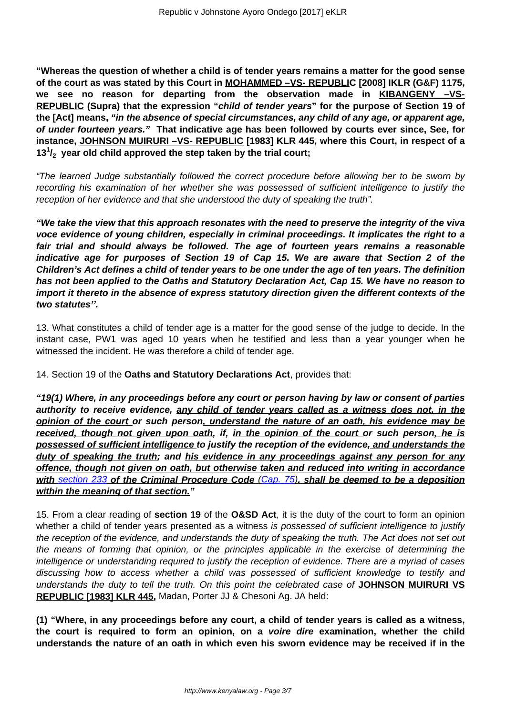**"Whereas the question of whether a child is of tender years remains a matter for the good sense of the court as was stated by this Court in MOHAMMED –VS- REPUBLIC [2008] IKLR (G&F) 1175,** we see no reason for departing from the observation made in **KIBANGENY** -VS-**REPUBLIC (Supra) that the expression "child of tender years" for the purpose of Section 19 of the [Act] means, "in the absence of special circumstances, any child of any age, or apparent age, of under fourteen years." That indicative age has been followed by courts ever since, See, for instance, JOHNSON MUIRURI –VS- REPUBLIC [1983] KLR 445, where this Court, in respect of a 13<sup>1</sup> /2 year old child approved the step taken by the trial court;**

"The learned Judge substantially followed the correct procedure before allowing her to be sworn by recording his examination of her whether she was possessed of sufficient intelligence to justify the reception of her evidence and that she understood the duty of speaking the truth".

**"We take the view that this approach resonates with the need to preserve the integrity of the viva voce evidence of young children, especially in criminal proceedings. It implicates the right to a fair trial and should always be followed. The age of fourteen years remains a reasonable indicative age for purposes of Section 19 of Cap 15. We are aware that Section 2 of the Children's Act defines a child of tender years to be one under the age of ten years. The definition has not been applied to the Oaths and Statutory Declaration Act, Cap 15. We have no reason to import it thereto in the absence of express statutory direction given the different contexts of the two statutes''.**

13. What constitutes a child of tender age is a matter for the good sense of the judge to decide. In the instant case, PW1 was aged 10 years when he testified and less than a year younger when he witnessed the incident. He was therefore a child of tender age.

14. Section 19 of the **Oaths and Statutory Declarations Act**, provides that:

**"19(1) Where, in any proceedings before any court or person having by law or consent of parties authority to receive evidence, any child of tender years called as a witness does not, in the opinion of the court or such person, understand the nature of an oath, his evidence may be received, though not given upon oath, if, in the opinion of the court or such person, he is possessed of sufficient intelligence to justify the reception of the evidence, and understands the duty of speaking the truth; and his evidence in any proceedings against any person for any offence, though not given on oath, but otherwise taken and reduced into writing in accordance with** [section 233](http://www.kenyalaw.org:8181/exist/kenyalex/actviewbyid.xql"id=KE/LEG/EN/AR/C/CHAPTER%2075/sec_233#KE/LEG/EN/AR/C/CHAPTER%2075/sec_233) **of the Criminal Procedure Code** [\(Cap. 75\)](http://www.kenyalaw.org:8181/exist/kenyalex/actviewbyid.xql"id=KE/LEG/EN/AR/C/CHAPTER%2075#KE/LEG/EN/AR/C/CHAPTER%2075)**, shall be deemed to be a deposition within the meaning of that section."**

15. From a clear reading of **section 19** of the **O&SD Act**, it is the duty of the court to form an opinion whether a child of tender years presented as a witness is possessed of sufficient intelligence to justify the reception of the evidence, and understands the duty of speaking the truth. The Act does not set out the means of forming that opinion, or the principles applicable in the exercise of determining the intelligence or understanding required to justify the reception of evidence. There are a myriad of cases discussing how to access whether a child was possessed of sufficient knowledge to testify and understands the duty to tell the truth. On this point the celebrated case of **JOHNSON MUIRURI VS REPUBLIC [1983] KLR 445,** Madan, Porter JJ & Chesoni Ag. JA held:

**(1) "Where, in any proceedings before any court, a child of tender years is called as a witness, the court is required to form an opinion, on a voire dire examination, whether the child understands the nature of an oath in which even his sworn evidence may be received if in the**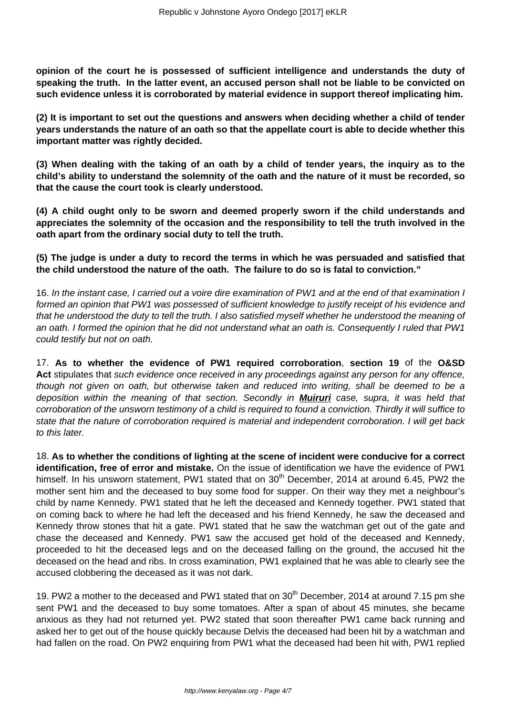**opinion of the court he is possessed of sufficient intelligence and understands the duty of speaking the truth. In the latter event, an accused person shall not be liable to be convicted on such evidence unless it is corroborated by material evidence in support thereof implicating him.**

**(2) It is important to set out the questions and answers when deciding whether a child of tender years understands the nature of an oath so that the appellate court is able to decide whether this important matter was rightly decided.**

**(3) When dealing with the taking of an oath by a child of tender years, the inquiry as to the child's ability to understand the solemnity of the oath and the nature of it must be recorded, so that the cause the court took is clearly understood.**

**(4) A child ought only to be sworn and deemed properly sworn if the child understands and appreciates the solemnity of the occasion and the responsibility to tell the truth involved in the oath apart from the ordinary social duty to tell the truth.**

**(5) The judge is under a duty to record the terms in which he was persuaded and satisfied that the child understood the nature of the oath. The failure to do so is fatal to conviction."**

16. In the instant case, I carried out a voire dire examination of PW1 and at the end of that examination I formed an opinion that PW1 was possessed of sufficient knowledge to justify receipt of his evidence and that he understood the duty to tell the truth. I also satisfied myself whether he understood the meaning of an oath. I formed the opinion that he did not understand what an oath is. Consequently I ruled that PW1 could testify but not on oath.

17. **As to whether the evidence of PW1 required corroboration**, **section 19** of the **O&SD** Act stipulates that such evidence once received in any proceedings against any person for any offence, though not given on oath, but otherwise taken and reduced into writing, shall be deemed to be a deposition within the meaning of that section. Secondly in **Muiruri** case, supra, it was held that corroboration of the unsworn testimony of a child is required to found a conviction. Thirdly it will suffice to state that the nature of corroboration required is material and independent corroboration. I will get back to this later.

18. **As to whether the conditions of lighting at the scene of incident were conducive for a correct identification, free of error and mistake.** On the issue of identification we have the evidence of PW1 himself. In his unsworn statement, PW1 stated that on  $30<sup>th</sup>$  December, 2014 at around 6.45, PW2 the mother sent him and the deceased to buy some food for supper. On their way they met a neighbour's child by name Kennedy. PW1 stated that he left the deceased and Kennedy together. PW1 stated that on coming back to where he had left the deceased and his friend Kennedy, he saw the deceased and Kennedy throw stones that hit a gate. PW1 stated that he saw the watchman get out of the gate and chase the deceased and Kennedy. PW1 saw the accused get hold of the deceased and Kennedy, proceeded to hit the deceased legs and on the deceased falling on the ground, the accused hit the deceased on the head and ribs. In cross examination, PW1 explained that he was able to clearly see the accused clobbering the deceased as it was not dark.

19. PW2 a mother to the deceased and PW1 stated that on 30<sup>th</sup> December, 2014 at around 7.15 pm she sent PW1 and the deceased to buy some tomatoes. After a span of about 45 minutes, she became anxious as they had not returned yet. PW2 stated that soon thereafter PW1 came back running and asked her to get out of the house quickly because Delvis the deceased had been hit by a watchman and had fallen on the road. On PW2 enquiring from PW1 what the deceased had been hit with, PW1 replied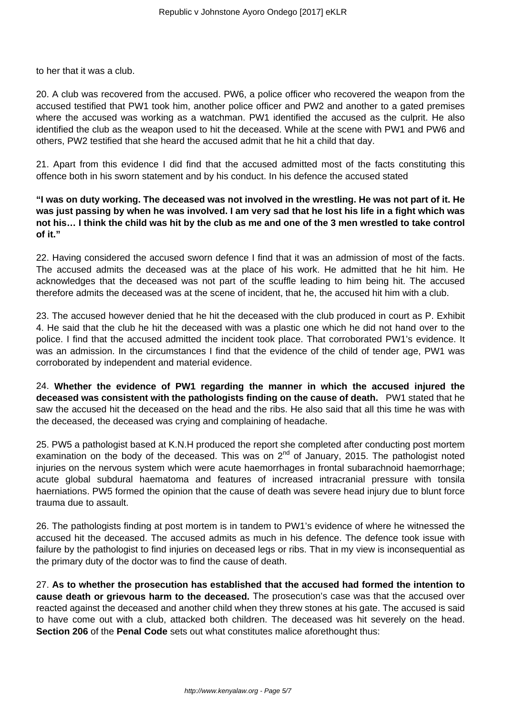to her that it was a club.

20. A club was recovered from the accused. PW6, a police officer who recovered the weapon from the accused testified that PW1 took him, another police officer and PW2 and another to a gated premises where the accused was working as a watchman. PW1 identified the accused as the culprit. He also identified the club as the weapon used to hit the deceased. While at the scene with PW1 and PW6 and others, PW2 testified that she heard the accused admit that he hit a child that day.

21. Apart from this evidence I did find that the accused admitted most of the facts constituting this offence both in his sworn statement and by his conduct. In his defence the accused stated

**"I was on duty working. The deceased was not involved in the wrestling. He was not part of it. He was just passing by when he was involved. I am very sad that he lost his life in a fight which was not his… I think the child was hit by the club as me and one of the 3 men wrestled to take control of it."**

22. Having considered the accused sworn defence I find that it was an admission of most of the facts. The accused admits the deceased was at the place of his work. He admitted that he hit him. He acknowledges that the deceased was not part of the scuffle leading to him being hit. The accused therefore admits the deceased was at the scene of incident, that he, the accused hit him with a club.

23. The accused however denied that he hit the deceased with the club produced in court as P. Exhibit 4. He said that the club he hit the deceased with was a plastic one which he did not hand over to the police. I find that the accused admitted the incident took place. That corroborated PW1's evidence. It was an admission. In the circumstances I find that the evidence of the child of tender age, PW1 was corroborated by independent and material evidence.

24. **Whether the evidence of PW1 regarding the manner in which the accused injured the deceased was consistent with the pathologists finding on the cause of death.** PW1 stated that he saw the accused hit the deceased on the head and the ribs. He also said that all this time he was with the deceased, the deceased was crying and complaining of headache.

25. PW5 a pathologist based at K.N.H produced the report she completed after conducting post mortem examination on the body of the deceased. This was on  $2<sup>nd</sup>$  of January, 2015. The pathologist noted injuries on the nervous system which were acute haemorrhages in frontal subarachnoid haemorrhage; acute global subdural haematoma and features of increased intracranial pressure with tonsila haerniations. PW5 formed the opinion that the cause of death was severe head injury due to blunt force trauma due to assault.

26. The pathologists finding at post mortem is in tandem to PW1's evidence of where he witnessed the accused hit the deceased. The accused admits as much in his defence. The defence took issue with failure by the pathologist to find injuries on deceased legs or ribs. That in my view is inconsequential as the primary duty of the doctor was to find the cause of death.

27. **As to whether the prosecution has established that the accused had formed the intention to cause death or grievous harm to the deceased.** The prosecution's case was that the accused over reacted against the deceased and another child when they threw stones at his gate. The accused is said to have come out with a club, attacked both children. The deceased was hit severely on the head. **Section 206** of the **Penal Code** sets out what constitutes malice aforethought thus: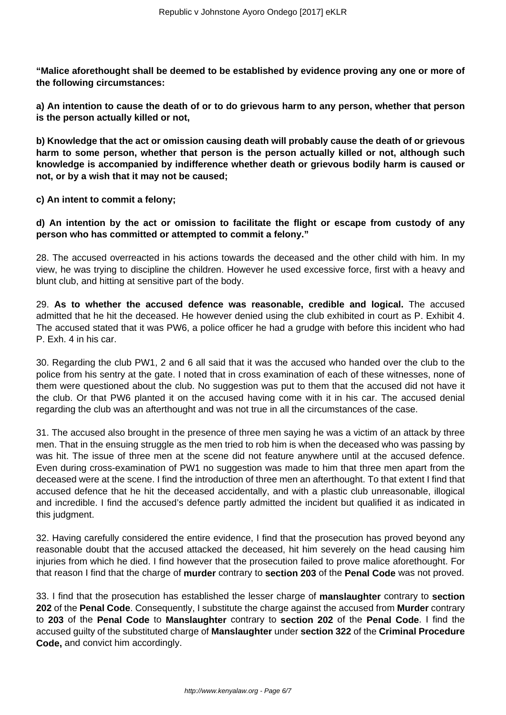**"Malice aforethought shall be deemed to be established by evidence proving any one or more of the following circumstances:**

**a) An intention to cause the death of or to do grievous harm to any person, whether that person is the person actually killed or not,**

**b) Knowledge that the act or omission causing death will probably cause the death of or grievous harm to some person, whether that person is the person actually killed or not, although such knowledge is accompanied by indifference whether death or grievous bodily harm is caused or not, or by a wish that it may not be caused;**

**c) An intent to commit a felony;**

**d) An intention by the act or omission to facilitate the flight or escape from custody of any person who has committed or attempted to commit a felony."**

28. The accused overreacted in his actions towards the deceased and the other child with him. In my view, he was trying to discipline the children. However he used excessive force, first with a heavy and blunt club, and hitting at sensitive part of the body.

29. **As to whether the accused defence was reasonable, credible and logical.** The accused admitted that he hit the deceased. He however denied using the club exhibited in court as P. Exhibit 4. The accused stated that it was PW6, a police officer he had a grudge with before this incident who had P. Exh. 4 in his car.

30. Regarding the club PW1, 2 and 6 all said that it was the accused who handed over the club to the police from his sentry at the gate. I noted that in cross examination of each of these witnesses, none of them were questioned about the club. No suggestion was put to them that the accused did not have it the club. Or that PW6 planted it on the accused having come with it in his car. The accused denial regarding the club was an afterthought and was not true in all the circumstances of the case.

31. The accused also brought in the presence of three men saying he was a victim of an attack by three men. That in the ensuing struggle as the men tried to rob him is when the deceased who was passing by was hit. The issue of three men at the scene did not feature anywhere until at the accused defence. Even during cross-examination of PW1 no suggestion was made to him that three men apart from the deceased were at the scene. I find the introduction of three men an afterthought. To that extent I find that accused defence that he hit the deceased accidentally, and with a plastic club unreasonable, illogical and incredible. I find the accused's defence partly admitted the incident but qualified it as indicated in this judgment.

32. Having carefully considered the entire evidence, I find that the prosecution has proved beyond any reasonable doubt that the accused attacked the deceased, hit him severely on the head causing him injuries from which he died. I find however that the prosecution failed to prove malice aforethought. For that reason I find that the charge of **murder** contrary to **section 203** of the **Penal Code** was not proved.

33. I find that the prosecution has established the lesser charge of **manslaughter** contrary to **section 202** of the **Penal Code**. Consequently, I substitute the charge against the accused from **Murder** contrary to **203** of the **Penal Code** to **Manslaughter** contrary to **section 202** of the **Penal Code**. I find the accused guilty of the substituted charge of **Manslaughter** under **section 322** of the **Criminal Procedure Code,** and convict him accordingly.